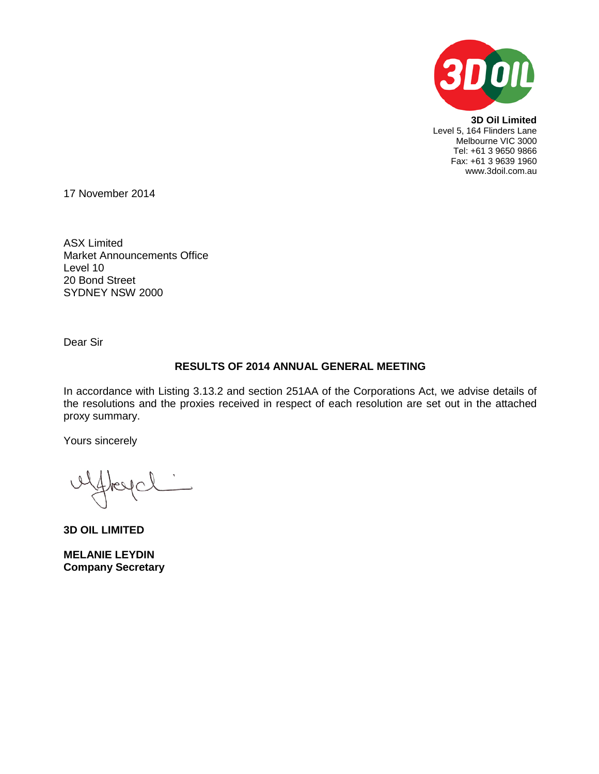

**3D Oil Limited** Level 5, 164 Flinders Lane Melbourne VIC 3000 Tel: +61 3 9650 9866 Fax: +61 3 9639 1960 www.3doil.com.au

17 November 2014

ASX Limited Market Announcements Office Level 10 20 Bond Street SYDNEY NSW 2000

Dear Sir

# **RESULTS OF 2014 ANNUAL GENERAL MEETING**

In accordance with Listing 3.13.2 and section 251AA of the Corporations Act, we advise details of the resolutions and the proxies received in respect of each resolution are set out in the attached proxy summary.

Yours sincerely

**3D OIL LIMITED**

**MELANIE LEYDIN Company Secretary**